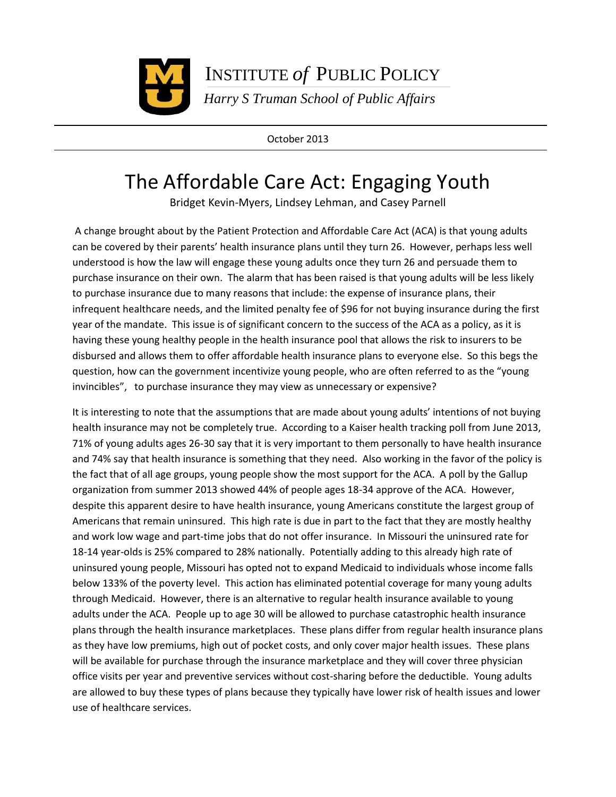

INSTITUTE *of* PUBLIC POLICY

 *Harry S Truman School of Public Affairs*

October 2013

## The Affordable Care Act: Engaging Youth

Bridget Kevin-Myers, Lindsey Lehman, and Casey Parnell

A change brought about by the Patient Protection and Affordable Care Act (ACA) is that young adults can be covered by their parents' health insurance plans until they turn 26. However, perhaps less well understood is how the law will engage these young adults once they turn 26 and persuade them to purchase insurance on their own. The alarm that has been raised is that young adults will be less likely to purchase insurance due to many reasons that include: the expense of insurance plans, their infrequent healthcare needs, and the limited penalty fee of \$96 for not buying insurance during the first year of the mandate. This issue is of significant concern to the success of the ACA as a policy, as it is having these young healthy people in the health insurance pool that allows the risk to insurers to be disbursed and allows them to offer affordable health insurance plans to everyone else. So this begs the question, how can the government incentivize young people, who are often referred to as the "young invincibles", to purchase insurance they may view as unnecessary or expensive?

It is interesting to note that the assumptions that are made about young adults' intentions of not buying health insurance may not be completely true. According to a Kaiser health tracking poll from June 2013, 71% of young adults ages 26-30 say that it is very important to them personally to have health insurance and 74% say that health insurance is something that they need. Also working in the favor of the policy is the fact that of all age groups, young people show the most support for the ACA. A poll by the Gallup organization from summer 2013 showed 44% of people ages 18-34 approve of the ACA. However, despite this apparent desire to have health insurance, young Americans constitute the largest group of Americans that remain uninsured. This high rate is due in part to the fact that they are mostly healthy and work low wage and part-time jobs that do not offer insurance. In Missouri the uninsured rate for 18-14 year-olds is 25% compared to 28% nationally. Potentially adding to this already high rate of uninsured young people, Missouri has opted not to expand Medicaid to individuals whose income falls below 133% of the poverty level. This action has eliminated potential coverage for many young adults through Medicaid. However, there is an alternative to regular health insurance available to young adults under the ACA. People up to age 30 will be allowed to purchase catastrophic health insurance plans through the health insurance marketplaces. These plans differ from regular health insurance plans as they have low premiums, high out of pocket costs, and only cover major health issues. These plans will be available for purchase through the insurance marketplace and they will cover three physician office visits per year and preventive services without cost-sharing before the deductible. Young adults are allowed to buy these types of plans because they typically have lower risk of health issues and lower use of healthcare services.